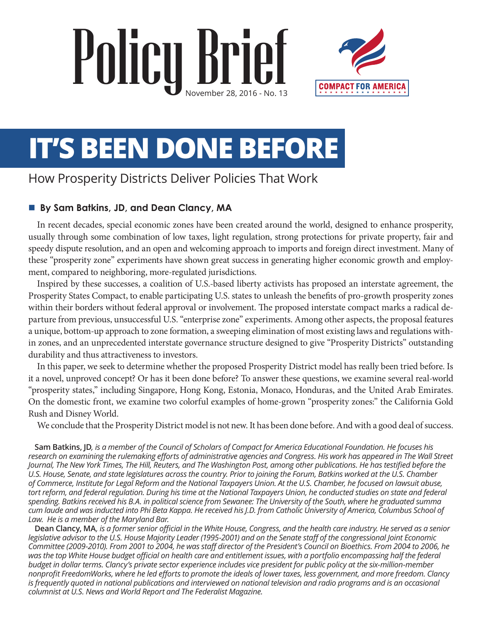# Policy Brief



# **IT'S BEEN DONE BEFORE**

# How Prosperity Districts Deliver Policies That Work

#### ■ By Sam Batkins, JD, and Dean Clancy, MA

In recent decades, special economic zones have been created around the world, designed to enhance prosperity, usually through some combination of low taxes, light regulation, strong protections for private property, fair and speedy dispute resolution, and an open and welcoming approach to imports and foreign direct investment. Many of these "prosperity zone" experiments have shown great success in generating higher economic growth and employment, compared to neighboring, more-regulated jurisdictions.

Inspired by these successes, a coalition of U.S.-based liberty activists has proposed an interstate agreement, the Prosperity States Compact, to enable participating U.S. states to unleash the benefits of pro-growth prosperity zones within their borders without federal approval or involvement. The proposed interstate compact marks a radical departure from previous, unsuccessful U.S. "enterprise zone" experiments. Among other aspects, the proposal features a unique, bottom-up approach to zone formation, a sweeping elimination of most existing laws and regulations within zones, and an unprecedented interstate governance structure designed to give "Prosperity Districts" outstanding durability and thus attractiveness to investors.

In this paper, we seek to determine whether the proposed Prosperity District model has really been tried before. Is it a novel, unproved concept? Or has it been done before? To answer these questions, we examine several real-world "prosperity states," including Singapore, Hong Kong, Estonia, Monaco, Honduras, and the United Arab Emirates. On the domestic front, we examine two colorful examples of home-grown "prosperity zones:" the California Gold Rush and Disney World.

We conclude that the Prosperity District model is not new. It has been done before. And with a good deal of success.

**Sam Batkins, JD***, is a member of the Council of Scholars of Compact for America Educational Foundation. He focuses his*  research on examining the rulemaking efforts of administrative agencies and Congress. His work has appeared in The Wall Street *Journal, The New York Times, The Hill, Reuters, and The Washington Post, among other publications. He has testified before the U.S. House, Senate, and state legislatures across the country. Prior to joining the Forum, Batkins worked at the U.S. Chamber of Commerce, Institute for Legal Reform and the National Taxpayers Union. At the U.S. Chamber, he focused on lawsuit abuse, tort reform, and federal regulation. During his time at the National Taxpayers Union, he conducted studies on state and federal spending. Batkins received his B.A. in political science from Sewanee: The University of the South, where he graduated summa cum laude and was inducted into Phi Beta Kappa. He received his J.D. from Catholic University of America, Columbus School of Law. He is a member of the Maryland Bar.*

**Dean Clancy, MA***, is a former senior official in the White House, Congress, and the health care industry. He served as a senior legislative advisor to the U.S. House Majority Leader (1995-2001) and on the Senate staff of the congressional Joint Economic Committee (2009-2010). From 2001 to 2004, he was staff director of the President's Council on Bioethics. From 2004 to 2006, he*  was the top White House budget official on health care and entitlement issues, with a portfolio encompassing half the federal *budget in dollar terms. Clancy's private sector experience includes vice president for public policy at the six-million-member nonprofit FreedomWorks, where he led efforts to promote the ideals of lower taxes, less government, and more freedom. Clancy is frequently quoted in national publications and interviewed on national television and radio programs and is an occasional columnist at U.S. News and World Report and The Federalist Magazine.*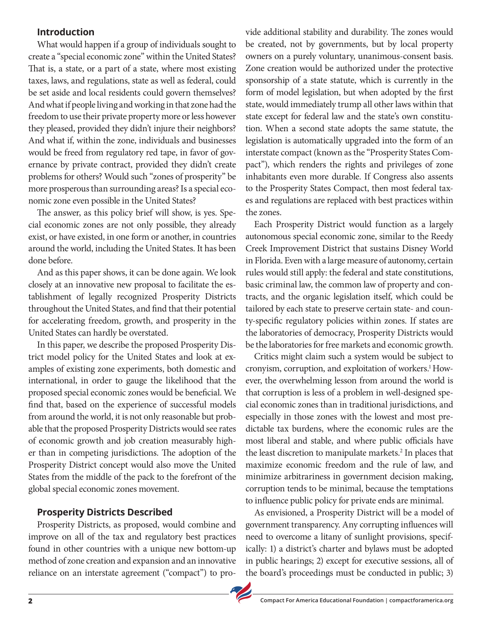#### **Introduction**

What would happen if a group of individuals sought to create a "special economic zone" within the United States? That is, a state, or a part of a state, where most existing taxes, laws, and regulations, state as well as federal, could be set aside and local residents could govern themselves? And what if people living and working in that zone had the freedom to use their private property more or less however they pleased, provided they didn't injure their neighbors? And what if, within the zone, individuals and businesses would be freed from regulatory red tape, in favor of governance by private contract, provided they didn't create problems for others? Would such "zones of prosperity" be more prosperous than surrounding areas? Is a special economic zone even possible in the United States?

The answer, as this policy brief will show, is yes. Special economic zones are not only possible, they already exist, or have existed, in one form or another, in countries around the world, including the United States. It has been done before.

And as this paper shows, it can be done again. We look closely at an innovative new proposal to facilitate the establishment of legally recognized Prosperity Districts throughout the United States, and find that their potential for accelerating freedom, growth, and prosperity in the United States can hardly be overstated.

In this paper, we describe the proposed Prosperity District model policy for the United States and look at examples of existing zone experiments, both domestic and international, in order to gauge the likelihood that the proposed special economic zones would be beneficial. We find that, based on the experience of successful models from around the world, it is not only reasonable but probable that the proposed Prosperity Districts would see rates of economic growth and job creation measurably higher than in competing jurisdictions. The adoption of the Prosperity District concept would also move the United States from the middle of the pack to the forefront of the global special economic zones movement.

#### **Prosperity Districts Described**

Prosperity Districts, as proposed, would combine and improve on all of the tax and regulatory best practices found in other countries with a unique new bottom-up method of zone creation and expansion and an innovative reliance on an interstate agreement ("compact") to provide additional stability and durability. The zones would be created, not by governments, but by local property owners on a purely voluntary, unanimous-consent basis. Zone creation would be authorized under the protective sponsorship of a state statute, which is currently in the form of model legislation, but when adopted by the first state, would immediately trump all other laws within that state except for federal law and the state's own constitution. When a second state adopts the same statute, the legislation is automatically upgraded into the form of an interstate compact (known as the "Prosperity States Compact"), which renders the rights and privileges of zone inhabitants even more durable. If Congress also assents to the Prosperity States Compact, then most federal taxes and regulations are replaced with best practices within the zones.

Each Prosperity District would function as a largely autonomous special economic zone, similar to the Reedy Creek Improvement District that sustains Disney World in Florida. Even with a large measure of autonomy, certain rules would still apply: the federal and state constitutions, basic criminal law, the common law of property and contracts, and the organic legislation itself, which could be tailored by each state to preserve certain state- and county-specific regulatory policies within zones. If states are the laboratories of democracy, Prosperity Districts would be the laboratories for free markets and economic growth.

Critics might claim such a system would be subject to cronyism, corruption, and exploitation of workers.<sup>1</sup> However, the overwhelming lesson from around the world is that corruption is less of a problem in well-designed special economic zones than in traditional jurisdictions, and especially in those zones with the lowest and most predictable tax burdens, where the economic rules are the most liberal and stable, and where public officials have the least discretion to manipulate markets.<sup>2</sup> In places that maximize economic freedom and the rule of law, and minimize arbitrariness in government decision making, corruption tends to be minimal, because the temptations to influence public policy for private ends are minimal.

As envisioned, a Prosperity District will be a model of government transparency. Any corrupting influences will need to overcome a litany of sunlight provisions, specifically: 1) a district's charter and bylaws must be adopted in public hearings; 2) except for executive sessions, all of the board's proceedings must be conducted in public; 3)

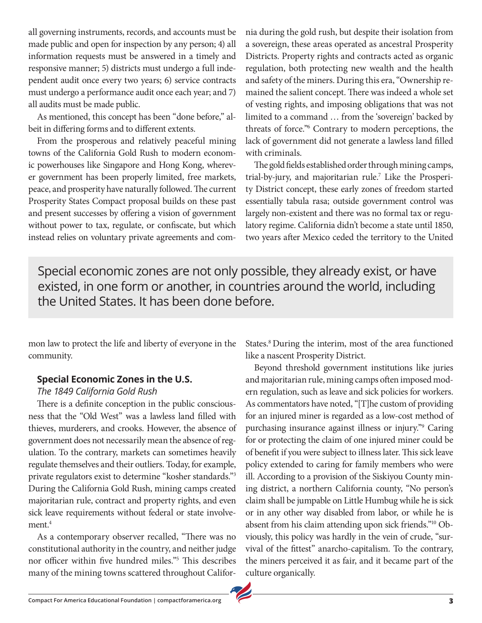all governing instruments, records, and accounts must be made public and open for inspection by any person; 4) all information requests must be answered in a timely and responsive manner; 5) districts must undergo a full independent audit once every two years; 6) service contracts must undergo a performance audit once each year; and 7) all audits must be made public.

As mentioned, this concept has been "done before," albeit in differing forms and to different extents.

From the prosperous and relatively peaceful mining towns of the California Gold Rush to modern economic powerhouses like Singapore and Hong Kong, wherever government has been properly limited, free markets, peace, and prosperity have naturally followed. The current Prosperity States Compact proposal builds on these past and present successes by offering a vision of government without power to tax, regulate, or confiscate, but which instead relies on voluntary private agreements and com-

nia during the gold rush, but despite their isolation from a sovereign, these areas operated as ancestral Prosperity Districts. Property rights and contracts acted as organic regulation, both protecting new wealth and the health and safety of the miners. During this era, "Ownership remained the salient concept. There was indeed a whole set of vesting rights, and imposing obligations that was not limited to a command … from the 'sovereign' backed by threats of force."6 Contrary to modern perceptions, the lack of government did not generate a lawless land filled with criminals.

The gold fields established order through mining camps, trial-by-jury, and majoritarian rule.<sup>7</sup> Like the Prosperity District concept, these early zones of freedom started essentially tabula rasa; outside government control was largely non-existent and there was no formal tax or regulatory regime. California didn't become a state until 1850, two years after Mexico ceded the territory to the United

Special economic zones are not only possible, they already exist, or have existed, in one form or another, in countries around the world, including the United States. It has been done before.

mon law to protect the life and liberty of everyone in the community.

#### **Special Economic Zones in the U.S.**

#### *The 1849 California Gold Rush*

There is a definite conception in the public consciousness that the "Old West" was a lawless land filled with thieves, murderers, and crooks. However, the absence of government does not necessarily mean the absence of regulation. To the contrary, markets can sometimes heavily regulate themselves and their outliers. Today, for example, private regulators exist to determine "kosher standards."3 During the California Gold Rush, mining camps created majoritarian rule, contract and property rights, and even sick leave requirements without federal or state involvement.<sup>4</sup>

As a contemporary observer recalled, "There was no constitutional authority in the country, and neither judge nor officer within five hundred miles."5 This describes many of the mining towns scattered throughout CaliforStates.<sup>8</sup> During the interim, most of the area functioned like a nascent Prosperity District.

Beyond threshold government institutions like juries and majoritarian rule, mining camps often imposed modern regulation, such as leave and sick policies for workers. As commentators have noted, "[T]he custom of providing for an injured miner is regarded as a low-cost method of purchasing insurance against illness or injury."9 Caring for or protecting the claim of one injured miner could be of benefit if you were subject to illness later. This sick leave policy extended to caring for family members who were ill. According to a provision of the Siskiyou County mining district, a northern California county, "No person's claim shall be jumpable on Little Humbug while he is sick or in any other way disabled from labor, or while he is absent from his claim attending upon sick friends."10 Obviously, this policy was hardly in the vein of crude, "survival of the fittest" anarcho-capitalism. To the contrary, the miners perceived it as fair, and it became part of the culture organically.

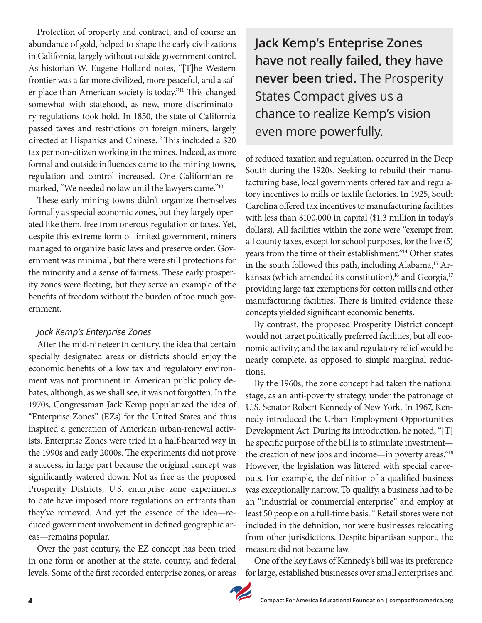Protection of property and contract, and of course an abundance of gold, helped to shape the early civilizations in California, largely without outside government control. As historian W. Eugene Holland notes, "[T]he Western frontier was a far more civilized, more peaceful, and a safer place than American society is today."11 This changed somewhat with statehood, as new, more discriminatory regulations took hold. In 1850, the state of California passed taxes and restrictions on foreign miners, largely directed at Hispanics and Chinese.<sup>12</sup> This included a \$20 tax per non-citizen working in the mines. Indeed, as more formal and outside influences came to the mining towns, regulation and control increased. One Californian remarked, "We needed no law until the lawyers came."<sup>13</sup>

These early mining towns didn't organize themselves formally as special economic zones, but they largely operated like them, free from onerous regulation or taxes. Yet, despite this extreme form of limited government, miners managed to organize basic laws and preserve order. Government was minimal, but there were still protections for the minority and a sense of fairness. These early prosperity zones were fleeting, but they serve an example of the benefits of freedom without the burden of too much government.

#### *Jack Kemp's Enterprise Zones*

After the mid-nineteenth century, the idea that certain specially designated areas or districts should enjoy the economic benefits of a low tax and regulatory environment was not prominent in American public policy debates, although, as we shall see, it was not forgotten. In the 1970s, Congressman Jack Kemp popularized the idea of "Enterprise Zones" (EZs) for the United States and thus inspired a generation of American urban-renewal activists. Enterprise Zones were tried in a half-hearted way in the 1990s and early 2000s. The experiments did not prove a success, in large part because the original concept was significantly watered down. Not as free as the proposed Prosperity Districts, U.S. enterprise zone experiments to date have imposed more regulations on entrants than they've removed. And yet the essence of the idea—reduced government involvement in defined geographic areas—remains popular.

Over the past century, the EZ concept has been tried in one form or another at the state, county, and federal levels. Some of the first recorded enterprise zones, or areas **Jack Kemp's Enteprise Zones have not really failed, they have never been tried.** The Prosperity States Compact gives us a chance to realize Kemp's vision even more powerfully.

of reduced taxation and regulation, occurred in the Deep South during the 1920s. Seeking to rebuild their manufacturing base, local governments offered tax and regulatory incentives to mills or textile factories. In 1925, South Carolina offered tax incentives to manufacturing facilities with less than \$100,000 in capital (\$1.3 million in today's dollars). All facilities within the zone were "exempt from all county taxes, except for school purposes, for the five (5) years from the time of their establishment."<sup>14</sup> Other states in the south followed this path, including Alabama,<sup>15</sup> Arkansas (which amended its constitution),<sup>16</sup> and Georgia,<sup>17</sup> providing large tax exemptions for cotton mills and other manufacturing facilities. There is limited evidence these concepts yielded significant economic benefits.

By contrast, the proposed Prosperity District concept would not target politically preferred facilities, but all economic activity; and the tax and regulatory relief would be nearly complete, as opposed to simple marginal reductions.

By the 1960s, the zone concept had taken the national stage, as an anti-poverty strategy, under the patronage of U.S. Senator Robert Kennedy of New York. In 1967, Kennedy introduced the Urban Employment Opportunities Development Act. During its introduction, he noted, "[T] he specific purpose of the bill is to stimulate investment the creation of new jobs and income—in poverty areas."18 However, the legislation was littered with special carveouts. For example, the definition of a qualified business was exceptionally narrow. To qualify, a business had to be an "industrial or commercial enterprise" and employ at least 50 people on a full-time basis.<sup>19</sup> Retail stores were not included in the definition, nor were businesses relocating from other jurisdictions. Despite bipartisan support, the measure did not became law.

One of the key flaws of Kennedy's bill was its preference for large, established businesses over small enterprises and

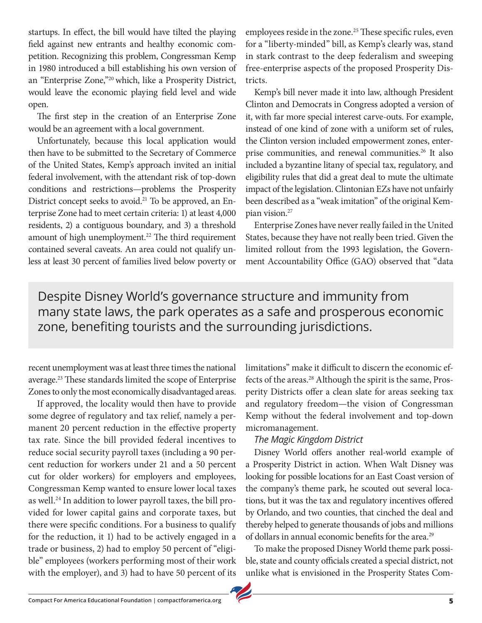startups. In effect, the bill would have tilted the playing field against new entrants and healthy economic competition. Recognizing this problem, Congressman Kemp in 1980 introduced a bill establishing his own version of an "Enterprise Zone,"20 which, like a Prosperity District, would leave the economic playing field level and wide open.

The first step in the creation of an Enterprise Zone would be an agreement with a local government.

Unfortunately, because this local application would then have to be submitted to the Secretary of Commerce of the United States, Kemp's approach invited an initial federal involvement, with the attendant risk of top-down conditions and restrictions—problems the Prosperity District concept seeks to avoid.21 To be approved, an Enterprise Zone had to meet certain criteria: 1) at least 4,000 residents, 2) a contiguous boundary, and 3) a threshold amount of high unemployment.<sup>22</sup> The third requirement contained several caveats. An area could not qualify unless at least 30 percent of families lived below poverty or

employees reside in the zone.<sup>25</sup> These specific rules, even for a "liberty-minded" bill, as Kemp's clearly was, stand in stark contrast to the deep federalism and sweeping free-enterprise aspects of the proposed Prosperity Districts.

Kemp's bill never made it into law, although President Clinton and Democrats in Congress adopted a version of it, with far more special interest carve-outs. For example, instead of one kind of zone with a uniform set of rules, the Clinton version included empowerment zones, enterprise communities, and renewal communities.<sup>26</sup> It also included a byzantine litany of special tax, regulatory, and eligibility rules that did a great deal to mute the ultimate impact of the legislation. Clintonian EZs have not unfairly been described as a "weak imitation" of the original Kempian vision.27

Enterprise Zones have never really failed in the United States, because they have not really been tried. Given the limited rollout from the 1993 legislation, the Government Accountability Office (GAO) observed that "data

Despite Disney World's governance structure and immunity from many state laws, the park operates as a safe and prosperous economic zone, benefiting tourists and the surrounding jurisdictions.

recent unemployment was at least three times the national average.23 These standards limited the scope of Enterprise Zones to only the most economically disadvantaged areas.

If approved, the locality would then have to provide some degree of regulatory and tax relief, namely a permanent 20 percent reduction in the effective property tax rate. Since the bill provided federal incentives to reduce social security payroll taxes (including a 90 percent reduction for workers under 21 and a 50 percent cut for older workers) for employers and employees, Congressman Kemp wanted to ensure lower local taxes as well.<sup>24</sup> In addition to lower payroll taxes, the bill provided for lower capital gains and corporate taxes, but there were specific conditions. For a business to qualify for the reduction, it 1) had to be actively engaged in a trade or business, 2) had to employ 50 percent of "eligible" employees (workers performing most of their work with the employer), and 3) had to have 50 percent of its

limitations" make it difficult to discern the economic effects of the areas.<sup>28</sup> Although the spirit is the same, Prosperity Districts offer a clean slate for areas seeking tax and regulatory freedom—the vision of Congressman Kemp without the federal involvement and top-down micromanagement.

#### *The Magic Kingdom District*

Disney World offers another real-world example of a Prosperity District in action. When Walt Disney was looking for possible locations for an East Coast version of the company's theme park, he scouted out several locations, but it was the tax and regulatory incentives offered by Orlando, and two counties, that cinched the deal and thereby helped to generate thousands of jobs and millions of dollars in annual economic benefits for the area.<sup>29</sup>

To make the proposed Disney World theme park possible, state and county officials created a special district, not unlike what is envisioned in the Prosperity States Com-

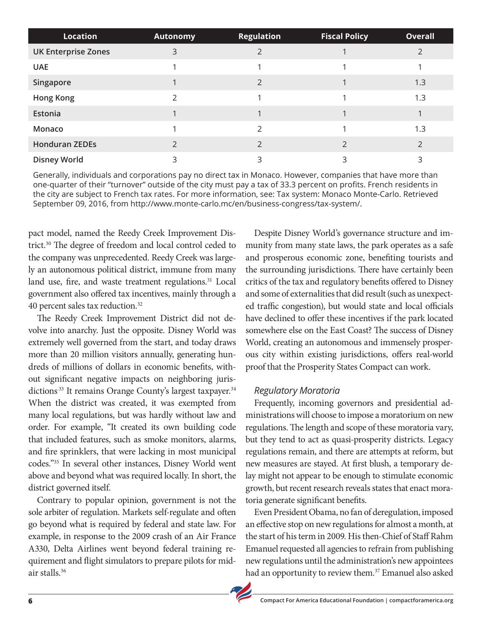| <b>Location</b>            | <b>Autonomy</b> | <b>Regulation</b> | <b>Fiscal Policy</b> | <b>Overall</b> |
|----------------------------|-----------------|-------------------|----------------------|----------------|
| <b>UK Enterprise Zones</b> | 3               | っ                 |                      |                |
| <b>UAE</b>                 |                 |                   |                      |                |
| Singapore                  |                 | $\mathcal{P}$     |                      | 1.3            |
| <b>Hong Kong</b>           |                 |                   |                      | 1.3            |
| Estonia                    |                 |                   |                      |                |
| Monaco                     |                 | $\mathfrak{D}$    |                      | 1.3            |
| <b>Honduran ZEDEs</b>      |                 | $\mathcal{P}$     | $\mathfrak{D}$       | $\mathfrak{D}$ |
| <b>Disney World</b>        | 3               | 3                 | ς                    | ς              |

Generally, individuals and corporations pay no direct tax in Monaco. However, companies that have more than one-quarter of their "turnover" outside of the city must pay a tax of 33.3 percent on profits. French residents in the city are subject to French tax rates. For more information, see: Tax system: Monaco Monte-Carlo. Retrieved September 09, 2016, from http://www.monte-carlo.mc/en/business-congress/tax-system/.

pact model, named the Reedy Creek Improvement District.30 The degree of freedom and local control ceded to the company was unprecedented. Reedy Creek was largely an autonomous political district, immune from many land use, fire, and waste treatment regulations.<sup>31</sup> Local government also offered tax incentives, mainly through a 40 percent sales tax reduction.32

The Reedy Creek Improvement District did not devolve into anarchy. Just the opposite. Disney World was extremely well governed from the start, and today draws more than 20 million visitors annually, generating hundreds of millions of dollars in economic benefits, without significant negative impacts on neighboring jurisdictions<sup>33</sup> It remains Orange County's largest taxpayer.<sup>34</sup> When the district was created, it was exempted from many local regulations, but was hardly without law and order. For example, "It created its own building code that included features, such as smoke monitors, alarms, and fire sprinklers, that were lacking in most municipal codes."35 In several other instances, Disney World went above and beyond what was required locally. In short, the district governed itself.

Contrary to popular opinion, government is not the sole arbiter of regulation. Markets self-regulate and often go beyond what is required by federal and state law. For example, in response to the 2009 crash of an Air France A330, Delta Airlines went beyond federal training requirement and flight simulators to prepare pilots for midair stalls.36

Despite Disney World's governance structure and immunity from many state laws, the park operates as a safe and prosperous economic zone, benefiting tourists and the surrounding jurisdictions. There have certainly been critics of the tax and regulatory benefits offered to Disney and some of externalities that did result (such as unexpected traffic congestion), but would state and local officials have declined to offer these incentives if the park located somewhere else on the East Coast? The success of Disney World, creating an autonomous and immensely prosperous city within existing jurisdictions, offers real-world proof that the Prosperity States Compact can work.

#### *Regulatory Moratoria*

Frequently, incoming governors and presidential administrations will choose to impose a moratorium on new regulations. The length and scope of these moratoria vary, but they tend to act as quasi-prosperity districts. Legacy regulations remain, and there are attempts at reform, but new measures are stayed. At first blush, a temporary delay might not appear to be enough to stimulate economic growth, but recent research reveals states that enact moratoria generate significant benefits.

Even President Obama, no fan of deregulation, imposed an effective stop on new regulations for almost a month, at the start of his term in 2009. His then-Chief of Staff Rahm Emanuel requested all agencies to refrain from publishing new regulations until the administration's new appointees had an opportunity to review them.<sup>37</sup> Emanuel also asked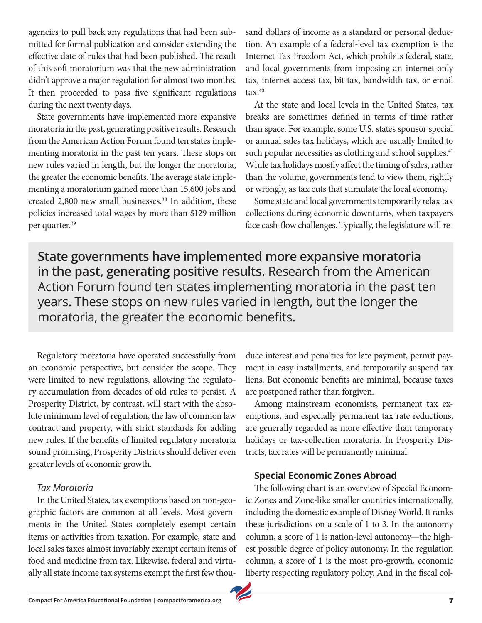agencies to pull back any regulations that had been submitted for formal publication and consider extending the effective date of rules that had been published. The result of this soft moratorium was that the new administration didn't approve a major regulation for almost two months. It then proceeded to pass five significant regulations during the next twenty days.

State governments have implemented more expansive moratoria in the past, generating positive results. Research from the American Action Forum found ten states implementing moratoria in the past ten years. These stops on new rules varied in length, but the longer the moratoria, the greater the economic benefits. The average state implementing a moratorium gained more than 15,600 jobs and created 2,800 new small businesses.<sup>38</sup> In addition, these policies increased total wages by more than \$129 million per quarter.39

sand dollars of income as a standard or personal deduction. An example of a federal-level tax exemption is the Internet Tax Freedom Act, which prohibits federal, state, and local governments from imposing an internet-only tax, internet-access tax, bit tax, bandwidth tax, or email  $\text{tax.}^{40}$ 

At the state and local levels in the United States, tax breaks are sometimes defined in terms of time rather than space. For example, some U.S. states sponsor special or annual sales tax holidays, which are usually limited to such popular necessities as clothing and school supplies.<sup>41</sup> While tax holidays mostly affect the timing of sales, rather than the volume, governments tend to view them, rightly or wrongly, as tax cuts that stimulate the local economy.

Some state and local governments temporarily relax tax collections during economic downturns, when taxpayers face cash-flow challenges. Typically, the legislature will re-

**State governments have implemented more expansive moratoria in the past, generating positive results.** Research from the American Action Forum found ten states implementing moratoria in the past ten years. These stops on new rules varied in length, but the longer the moratoria, the greater the economic benefits.

Regulatory moratoria have operated successfully from an economic perspective, but consider the scope. They were limited to new regulations, allowing the regulatory accumulation from decades of old rules to persist. A Prosperity District, by contrast, will start with the absolute minimum level of regulation, the law of common law contract and property, with strict standards for adding new rules. If the benefits of limited regulatory moratoria sound promising, Prosperity Districts should deliver even greater levels of economic growth.

#### *Tax Moratoria*

In the United States, tax exemptions based on non-geographic factors are common at all levels. Most governments in the United States completely exempt certain items or activities from taxation. For example, state and local sales taxes almost invariably exempt certain items of food and medicine from tax. Likewise, federal and virtually all state income tax systems exempt the first few thouduce interest and penalties for late payment, permit payment in easy installments, and temporarily suspend tax liens. But economic benefits are minimal, because taxes are postponed rather than forgiven.

Among mainstream economists, permanent tax exemptions, and especially permanent tax rate reductions, are generally regarded as more effective than temporary holidays or tax-collection moratoria. In Prosperity Districts, tax rates will be permanently minimal.

#### **Special Economic Zones Abroad**

The following chart is an overview of Special Economic Zones and Zone-like smaller countries internationally, including the domestic example of Disney World. It ranks these jurisdictions on a scale of 1 to 3. In the autonomy column, a score of 1 is nation-level autonomy—the highest possible degree of policy autonomy. In the regulation column, a score of 1 is the most pro-growth, economic liberty respecting regulatory policy. And in the fiscal col-

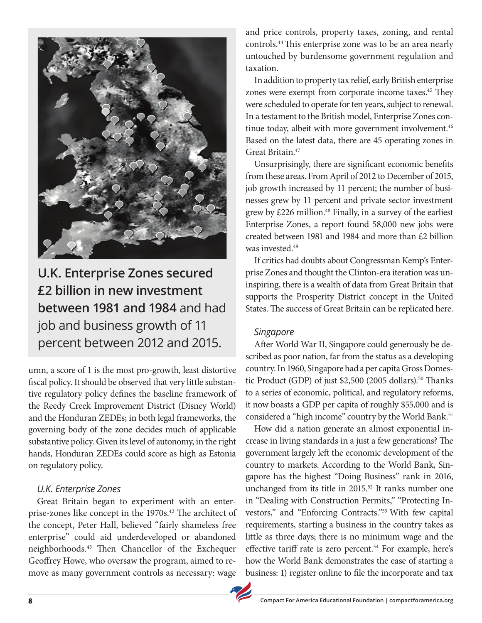

**U.K. Enterprise Zones secured £2 billion in new investment between 1981 and 1984** and had job and business growth of 11 percent between 2012 and 2015.

umn, a score of 1 is the most pro-growth, least distortive fiscal policy. It should be observed that very little substantive regulatory policy defines the baseline framework of the Reedy Creek Improvement District (Disney World) and the Honduran ZEDEs; in both legal frameworks, the governing body of the zone decides much of applicable substantive policy. Given its level of autonomy, in the right hands, Honduran ZEDEs could score as high as Estonia on regulatory policy.

#### *U.K. Enterprise Zones*

Great Britain began to experiment with an enterprise-zones like concept in the 1970s.<sup>42</sup> The architect of the concept, Peter Hall, believed "fairly shameless free enterprise" could aid underdeveloped or abandoned neighborhoods.43 Then Chancellor of the Exchequer Geoffrey Howe, who oversaw the program, aimed to remove as many government controls as necessary: wage

and price controls, property taxes, zoning, and rental controls.44 This enterprise zone was to be an area nearly untouched by burdensome government regulation and taxation.

In addition to property tax relief, early British enterprise zones were exempt from corporate income taxes.<sup>45</sup> They were scheduled to operate for ten years, subject to renewal. In a testament to the British model, Enterprise Zones continue today, albeit with more government involvement.<sup>46</sup> Based on the latest data, there are 45 operating zones in Great Britain.47

Unsurprisingly, there are significant economic benefits from these areas. From April of 2012 to December of 2015, job growth increased by 11 percent; the number of businesses grew by 11 percent and private sector investment grew by £226 million.<sup>48</sup> Finally, in a survey of the earliest Enterprise Zones, a report found 58,000 new jobs were created between 1981 and 1984 and more than £2 billion was invested.<sup>49</sup>

If critics had doubts about Congressman Kemp's Enterprise Zones and thought the Clinton-era iteration was uninspiring, there is a wealth of data from Great Britain that supports the Prosperity District concept in the United States. The success of Great Britain can be replicated here.

#### *Singapore*

After World War II, Singapore could generously be described as poor nation, far from the status as a developing country. In 1960, Singapore had a per capita Gross Domestic Product (GDP) of just \$2,500 (2005 dollars).<sup>50</sup> Thanks to a series of economic, political, and regulatory reforms, it now boasts a GDP per capita of roughly \$55,000 and is considered a "high income" country by the World Bank.<sup>51</sup>

How did a nation generate an almost exponential increase in living standards in a just a few generations? The government largely left the economic development of the country to markets. According to the World Bank, Singapore has the highest "Doing Business" rank in 2016, unchanged from its title in 2015.<sup>52</sup> It ranks number one in "Dealing with Construction Permits," "Protecting Investors," and "Enforcing Contracts."53 With few capital requirements, starting a business in the country takes as little as three days; there is no minimum wage and the effective tariff rate is zero percent.<sup>54</sup> For example, here's how the World Bank demonstrates the ease of starting a business: 1) register online to file the incorporate and tax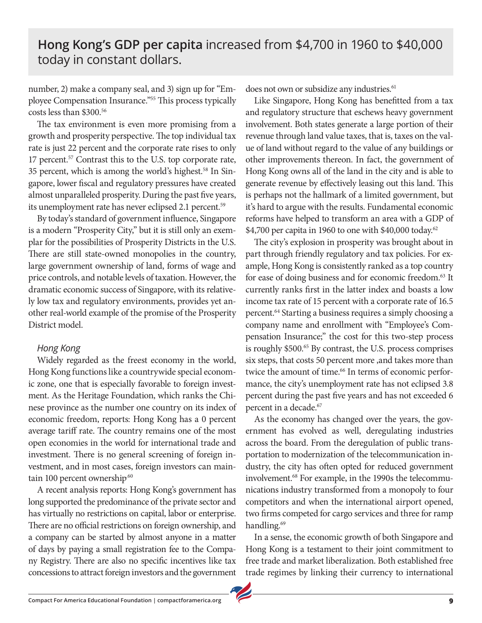## **Hong Kong's GDP per capita** increased from \$4,700 in 1960 to \$40,000 today in constant dollars.

number, 2) make a company seal, and 3) sign up for "Employee Compensation Insurance."55 This process typically costs less than \$300.56

The tax environment is even more promising from a growth and prosperity perspective. The top individual tax rate is just 22 percent and the corporate rate rises to only 17 percent.<sup>57</sup> Contrast this to the U.S. top corporate rate, 35 percent, which is among the world's highest.<sup>58</sup> In Singapore, lower fiscal and regulatory pressures have created almost unparalleled prosperity. During the past five years, its unemployment rate has never eclipsed 2.1 percent.59

By today's standard of government influence, Singapore is a modern "Prosperity City," but it is still only an exemplar for the possibilities of Prosperity Districts in the U.S. There are still state-owned monopolies in the country, large government ownership of land, forms of wage and price controls, and notable levels of taxation. However, the dramatic economic success of Singapore, with its relatively low tax and regulatory environments, provides yet another real-world example of the promise of the Prosperity District model.

#### *Hong Kong*

Widely regarded as the freest economy in the world, Hong Kong functions like a countrywide special economic zone, one that is especially favorable to foreign investment. As the Heritage Foundation, which ranks the Chinese province as the number one country on its index of economic freedom, reports: Hong Kong has a 0 percent average tariff rate. The country remains one of the most open economies in the world for international trade and investment. There is no general screening of foreign investment, and in most cases, foreign investors can maintain 100 percent ownership.<sup>60</sup>

A recent analysis reports: Hong Kong's government has long supported the predominance of the private sector and has virtually no restrictions on capital, labor or enterprise. There are no official restrictions on foreign ownership, and a company can be started by almost anyone in a matter of days by paying a small registration fee to the Company Registry. There are also no specific incentives like tax concessions to attract foreign investors and the government does not own or subsidize any industries.<sup>61</sup>

Like Singapore, Hong Kong has benefitted from a tax and regulatory structure that eschews heavy government involvement. Both states generate a large portion of their revenue through land value taxes, that is, taxes on the value of land without regard to the value of any buildings or other improvements thereon. In fact, the government of Hong Kong owns all of the land in the city and is able to generate revenue by effectively leasing out this land. This is perhaps not the hallmark of a limited government, but it's hard to argue with the results. Fundamental economic reforms have helped to transform an area with a GDP of \$4,700 per capita in 1960 to one with \$40,000 today.62

The city's explosion in prosperity was brought about in part through friendly regulatory and tax policies. For example, Hong Kong is consistently ranked as a top country for ease of doing business and for economic freedom.<sup>63</sup> It currently ranks first in the latter index and boasts a low income tax rate of 15 percent with a corporate rate of 16.5 percent.<sup>64</sup> Starting a business requires a simply choosing a company name and enrollment with "Employee's Compensation Insurance;" the cost for this two-step process is roughly \$500.<sup>65</sup> By contrast, the U.S. process comprises six steps, that costs 50 percent more ,and takes more than twice the amount of time.<sup>66</sup> In terms of economic performance, the city's unemployment rate has not eclipsed 3.8 percent during the past five years and has not exceeded 6 percent in a decade.67

As the economy has changed over the years, the government has evolved as well, deregulating industries across the board. From the deregulation of public transportation to modernization of the telecommunication industry, the city has often opted for reduced government involvement.68 For example, in the 1990s the telecommunications industry transformed from a monopoly to four competitors and when the international airport opened, two firms competed for cargo services and three for ramp handling.<sup>69</sup>

In a sense, the economic growth of both Singapore and Hong Kong is a testament to their joint commitment to free trade and market liberalization. Both established free trade regimes by linking their currency to international

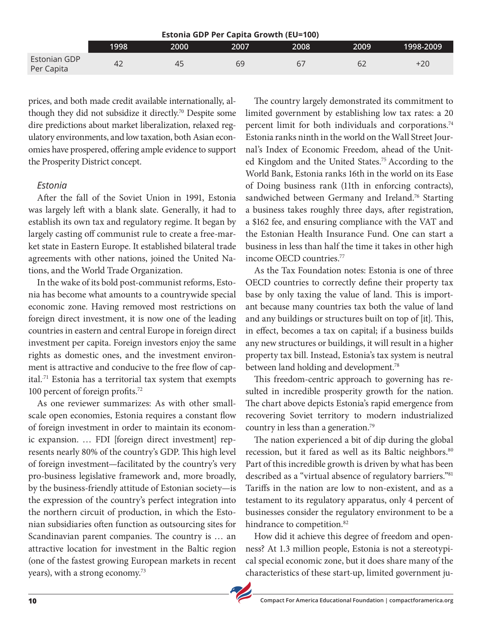|                            |      |      | <b>Estonia GDP Per Capita Growth (EU=100)</b> |                |      |           |
|----------------------------|------|------|-----------------------------------------------|----------------|------|-----------|
|                            | 1998 | 2000 | 2007                                          | 2008           | 2009 | 1998-2009 |
| Estonian GDP<br>Per Capita | 42   | 45   | 69                                            | 6 <sub>1</sub> | 62   | $+20$     |

prices, and both made credit available internationally, although they did not subsidize it directly.70 Despite some dire predictions about market liberalization, relaxed regulatory environments, and low taxation, both Asian economies have prospered, offering ample evidence to support the Prosperity District concept.

#### *Estonia*

After the fall of the Soviet Union in 1991, Estonia was largely left with a blank slate. Generally, it had to establish its own tax and regulatory regime. It began by largely casting off communist rule to create a free-market state in Eastern Europe. It established bilateral trade agreements with other nations, joined the United Nations, and the World Trade Organization.

In the wake of its bold post-communist reforms, Estonia has become what amounts to a countrywide special economic zone. Having removed most restrictions on foreign direct investment, it is now one of the leading countries in eastern and central Europe in foreign direct investment per capita. Foreign investors enjoy the same rights as domestic ones, and the investment environment is attractive and conducive to the free flow of capital.<sup>71</sup> Estonia has a territorial tax system that exempts 100 percent of foreign profits.72

As one reviewer summarizes: As with other smallscale open economies, Estonia requires a constant flow of foreign investment in order to maintain its economic expansion. … FDI [foreign direct investment] represents nearly 80% of the country's GDP. This high level of foreign investment—facilitated by the country's very pro-business legislative framework and, more broadly, by the business-friendly attitude of Estonian society—is the expression of the country's perfect integration into the northern circuit of production, in which the Estonian subsidiaries often function as outsourcing sites for Scandinavian parent companies. The country is … an attractive location for investment in the Baltic region (one of the fastest growing European markets in recent years), with a strong economy.<sup>73</sup>

The country largely demonstrated its commitment to limited government by establishing low tax rates: a 20 percent limit for both individuals and corporations.<sup>74</sup> Estonia ranks ninth in the world on the Wall Street Journal's Index of Economic Freedom, ahead of the United Kingdom and the United States.75 According to the World Bank, Estonia ranks 16th in the world on its Ease of Doing business rank (11th in enforcing contracts), sandwiched between Germany and Ireland.<sup>76</sup> Starting a business takes roughly three days, after registration, a \$162 fee, and ensuring compliance with the VAT and the Estonian Health Insurance Fund. One can start a business in less than half the time it takes in other high income OECD countries.77

As the Tax Foundation notes: Estonia is one of three OECD countries to correctly define their property tax base by only taxing the value of land. This is important because many countries tax both the value of land and any buildings or structures built on top of [it]. This, in effect, becomes a tax on capital; if a business builds any new structures or buildings, it will result in a higher property tax bill. Instead, Estonia's tax system is neutral between land holding and development.<sup>78</sup>

This freedom-centric approach to governing has resulted in incredible prosperity growth for the nation. The chart above depicts Estonia's rapid emergence from recovering Soviet territory to modern industrialized country in less than a generation.79

The nation experienced a bit of dip during the global recession, but it fared as well as its Baltic neighbors.<sup>80</sup> Part of this incredible growth is driven by what has been described as a "virtual absence of regulatory barriers."81 Tariffs in the nation are low to non-existent, and as a testament to its regulatory apparatus, only 4 percent of businesses consider the regulatory environment to be a hindrance to competition.<sup>82</sup>

How did it achieve this degree of freedom and openness? At 1.3 million people, Estonia is not a stereotypical special economic zone, but it does share many of the characteristics of these start-up, limited government ju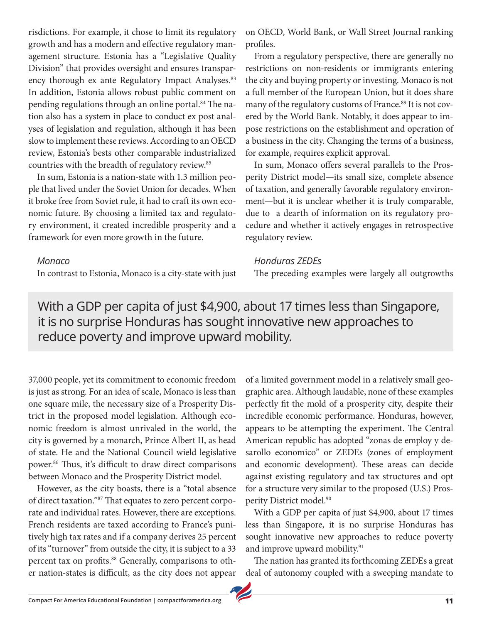risdictions. For example, it chose to limit its regulatory growth and has a modern and effective regulatory management structure. Estonia has a "Legislative Quality Division" that provides oversight and ensures transparency thorough ex ante Regulatory Impact Analyses.<sup>83</sup> In addition, Estonia allows robust public comment on pending regulations through an online portal.<sup>84</sup> The nation also has a system in place to conduct ex post analyses of legislation and regulation, although it has been slow to implement these reviews. According to an OECD review, Estonia's bests other comparable industrialized countries with the breadth of regulatory review.<sup>85</sup>

In sum, Estonia is a nation-state with 1.3 million people that lived under the Soviet Union for decades. When it broke free from Soviet rule, it had to craft its own economic future. By choosing a limited tax and regulatory environment, it created incredible prosperity and a framework for even more growth in the future.

In contrast to Estonia, Monaco is a city-state with just

*Monaco* 

on OECD, World Bank, or Wall Street Journal ranking profiles.

From a regulatory perspective, there are generally no restrictions on non-residents or immigrants entering the city and buying property or investing. Monaco is not a full member of the European Union, but it does share many of the regulatory customs of France.<sup>89</sup> It is not covered by the World Bank. Notably, it does appear to impose restrictions on the establishment and operation of a business in the city. Changing the terms of a business, for example, requires explicit approval.

In sum, Monaco offers several parallels to the Prosperity District model—its small size, complete absence of taxation, and generally favorable regulatory environment—but it is unclear whether it is truly comparable, due to a dearth of information on its regulatory procedure and whether it actively engages in retrospective regulatory review.

#### *Honduras ZEDEs*

The preceding examples were largely all outgrowths

With a GDP per capita of just \$4,900, about 17 times less than Singapore, it is no surprise Honduras has sought innovative new approaches to reduce poverty and improve upward mobility.

37,000 people, yet its commitment to economic freedom is just as strong. For an idea of scale, Monaco is less than one square mile, the necessary size of a Prosperity District in the proposed model legislation. Although economic freedom is almost unrivaled in the world, the city is governed by a monarch, Prince Albert II, as head of state. He and the National Council wield legislative power.86 Thus, it's difficult to draw direct comparisons between Monaco and the Prosperity District model.

However, as the city boasts, there is a "total absence of direct taxation."87 That equates to zero percent corporate and individual rates. However, there are exceptions. French residents are taxed according to France's punitively high tax rates and if a company derives 25 percent of its "turnover" from outside the city, it is subject to a 33 percent tax on profits.<sup>88</sup> Generally, comparisons to other nation-states is difficult, as the city does not appear of a limited government model in a relatively small geographic area. Although laudable, none of these examples perfectly fit the mold of a prosperity city, despite their incredible economic performance. Honduras, however, appears to be attempting the experiment. The Central American republic has adopted "zonas de employ y desarollo economico" or ZEDEs (zones of employment and economic development). These areas can decide against existing regulatory and tax structures and opt for a structure very similar to the proposed (U.S.) Prosperity District model.<sup>90</sup>

With a GDP per capita of just \$4,900, about 17 times less than Singapore, it is no surprise Honduras has sought innovative new approaches to reduce poverty and improve upward mobility.<sup>91</sup>

The nation has granted its forthcoming ZEDEs a great deal of autonomy coupled with a sweeping mandate to

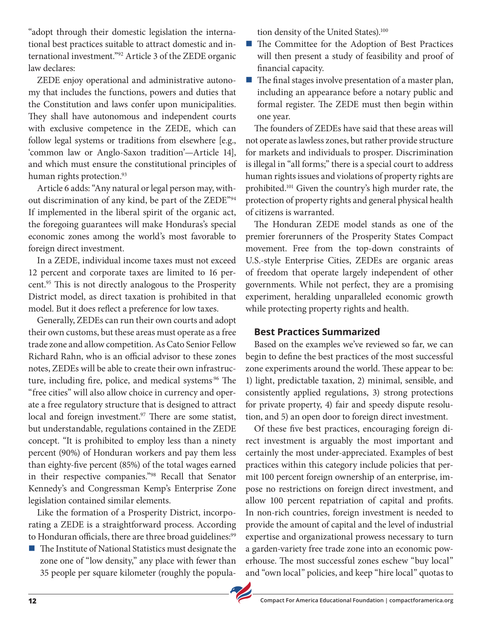"adopt through their domestic legislation the international best practices suitable to attract domestic and international investment."92 Article 3 of the ZEDE organic law declares:

ZEDE enjoy operational and administrative autonomy that includes the functions, powers and duties that the Constitution and laws confer upon municipalities. They shall have autonomous and independent courts with exclusive competence in the ZEDE, which can follow legal systems or traditions from elsewhere [e.g., 'common law or Anglo-Saxon tradition'—Article 14], and which must ensure the constitutional principles of human rights protection.<sup>93</sup>

Article 6 adds: "Any natural or legal person may, without discrimination of any kind, be part of the ZEDE"94 If implemented in the liberal spirit of the organic act, the foregoing guarantees will make Honduras's special economic zones among the world's most favorable to foreign direct investment.

In a ZEDE, individual income taxes must not exceed 12 percent and corporate taxes are limited to 16 percent.95 This is not directly analogous to the Prosperity District model, as direct taxation is prohibited in that model. But it does reflect a preference for low taxes.

Generally, ZEDEs can run their own courts and adopt their own customs, but these areas must operate as a free trade zone and allow competition. As Cato Senior Fellow Richard Rahn, who is an official advisor to these zones notes, ZEDEs will be able to create their own infrastructure, including fire, police, and medical systems.<sup>96</sup> The "free cities" will also allow choice in currency and operate a free regulatory structure that is designed to attract local and foreign investment.<sup>97</sup> There are some statist, but understandable, regulations contained in the ZEDE concept. "It is prohibited to employ less than a ninety percent (90%) of Honduran workers and pay them less than eighty-five percent (85%) of the total wages earned in their respective companies."98 Recall that Senator Kennedy's and Congressman Kemp's Enterprise Zone legislation contained similar elements.

Like the formation of a Prosperity District, incorporating a ZEDE is a straightforward process. According to Honduran officials, there are three broad guidelines:<sup>99</sup>

 $\blacksquare$  The Institute of National Statistics must designate the zone one of "low density," any place with fewer than 35 people per square kilometer (roughly the population density of the United States).<sup>100</sup>

- $\blacksquare$  The Committee for the Adoption of Best Practices will then present a study of feasibility and proof of financial capacity.
- $\blacksquare$  The final stages involve presentation of a master plan, including an appearance before a notary public and formal register. The ZEDE must then begin within one year.

The founders of ZEDEs have said that these areas will not operate as lawless zones, but rather provide structure for markets and individuals to prosper. Discrimination is illegal in "all forms;" there is a special court to address human rights issues and violations of property rights are prohibited.101 Given the country's high murder rate, the protection of property rights and general physical health of citizens is warranted.

The Honduran ZEDE model stands as one of the premier forerunners of the Prosperity States Compact movement. Free from the top-down constraints of U.S.-style Enterprise Cities, ZEDEs are organic areas of freedom that operate largely independent of other governments. While not perfect, they are a promising experiment, heralding unparalleled economic growth while protecting property rights and health.

#### **Best Practices Summarized**

Based on the examples we've reviewed so far, we can begin to define the best practices of the most successful zone experiments around the world. These appear to be: 1) light, predictable taxation, 2) minimal, sensible, and consistently applied regulations, 3) strong protections for private property, 4) fair and speedy dispute resolution, and 5) an open door to foreign direct investment.

Of these five best practices, encouraging foreign direct investment is arguably the most important and certainly the most under-appreciated. Examples of best practices within this category include policies that permit 100 percent foreign ownership of an enterprise, impose no restrictions on foreign direct investment, and allow 100 percent repatriation of capital and profits. In non-rich countries, foreign investment is needed to provide the amount of capital and the level of industrial expertise and organizational prowess necessary to turn a garden-variety free trade zone into an economic powerhouse. The most successful zones eschew "buy local" and "own local" policies, and keep "hire local" quotas to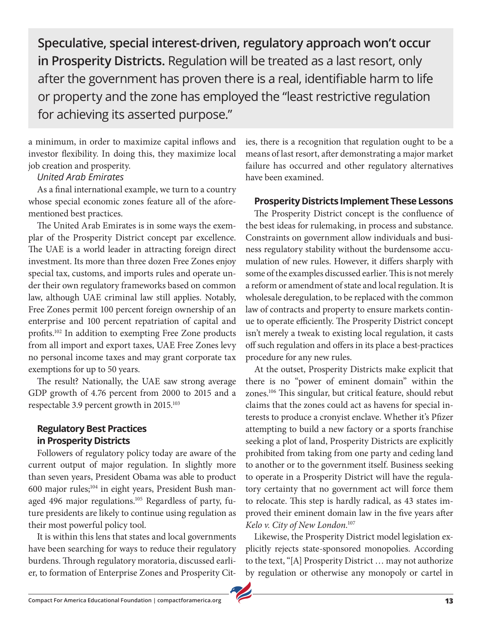**Speculative, special interest-driven, regulatory approach won't occur in Prosperity Districts.** Regulation will be treated as a last resort, only after the government has proven there is a real, identifiable harm to life or property and the zone has employed the "least restrictive regulation for achieving its asserted purpose."

a minimum, in order to maximize capital inflows and investor flexibility. In doing this, they maximize local job creation and prosperity.

#### *United Arab Emirates*

As a final international example, we turn to a country whose special economic zones feature all of the aforementioned best practices.

The United Arab Emirates is in some ways the exemplar of the Prosperity District concept par excellence. The UAE is a world leader in attracting foreign direct investment. Its more than three dozen Free Zones enjoy special tax, customs, and imports rules and operate under their own regulatory frameworks based on common law, although UAE criminal law still applies. Notably, Free Zones permit 100 percent foreign ownership of an enterprise and 100 percent repatriation of capital and profits.102 In addition to exempting Free Zone products from all import and export taxes, UAE Free Zones levy no personal income taxes and may grant corporate tax exemptions for up to 50 years.

The result? Nationally, the UAE saw strong average GDP growth of 4.76 percent from 2000 to 2015 and a respectable 3.9 percent growth in 2015.<sup>103</sup>

#### **Regulatory Best Practices in Prosperity Districts**

Followers of regulatory policy today are aware of the current output of major regulation. In slightly more than seven years, President Obama was able to product 600 major rules;<sup>104</sup> in eight years, President Bush managed 496 major regulations.<sup>105</sup> Regardless of party, future presidents are likely to continue using regulation as their most powerful policy tool.

It is within this lens that states and local governments have been searching for ways to reduce their regulatory burdens. Through regulatory moratoria, discussed earlier, to formation of Enterprise Zones and Prosperity Cities, there is a recognition that regulation ought to be a means of last resort, after demonstrating a major market failure has occurred and other regulatory alternatives have been examined.

#### **Prosperity Districts Implement These Lessons**

The Prosperity District concept is the confluence of the best ideas for rulemaking, in process and substance. Constraints on government allow individuals and business regulatory stability without the burdensome accumulation of new rules. However, it differs sharply with some of the examples discussed earlier. This is not merely a reform or amendment of state and local regulation. It is wholesale deregulation, to be replaced with the common law of contracts and property to ensure markets continue to operate efficiently. The Prosperity District concept isn't merely a tweak to existing local regulation, it casts off such regulation and offers in its place a best-practices procedure for any new rules.

At the outset, Prosperity Districts make explicit that there is no "power of eminent domain" within the zones.106 This singular, but critical feature, should rebut claims that the zones could act as havens for special interests to produce a cronyist enclave. Whether it's Pfizer attempting to build a new factory or a sports franchise seeking a plot of land, Prosperity Districts are explicitly prohibited from taking from one party and ceding land to another or to the government itself. Business seeking to operate in a Prosperity District will have the regulatory certainty that no government act will force them to relocate. This step is hardly radical, as 43 states improved their eminent domain law in the five years after *Kelo v. City of New London.*<sup>107</sup>

Likewise, the Prosperity District model legislation explicitly rejects state-sponsored monopolies. According to the text, "[A] Prosperity District … may not authorize by regulation or otherwise any monopoly or cartel in

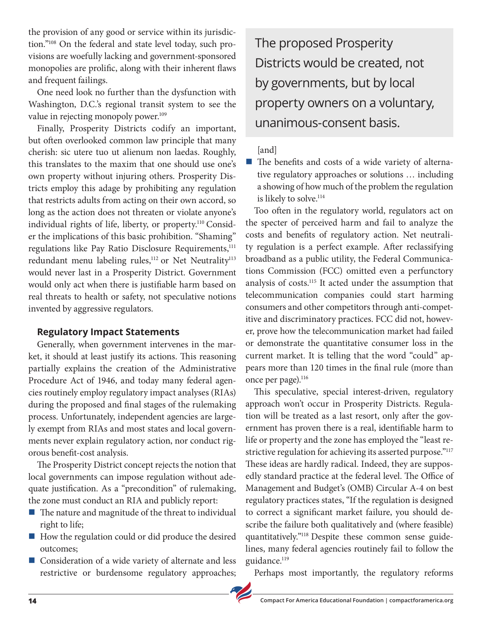the provision of any good or service within its jurisdiction."108 On the federal and state level today, such provisions are woefully lacking and government-sponsored monopolies are prolific, along with their inherent flaws and frequent failings.

One need look no further than the dysfunction with Washington, D.C.'s regional transit system to see the value in rejecting monopoly power.<sup>109</sup>

Finally, Prosperity Districts codify an important, but often overlooked common law principle that many cherish: sic utere tuo ut alienum non laedas. Roughly, this translates to the maxim that one should use one's own property without injuring others. Prosperity Districts employ this adage by prohibiting any regulation that restricts adults from acting on their own accord, so long as the action does not threaten or violate anyone's individual rights of life, liberty, or property.<sup>110</sup> Consider the implications of this basic prohibition. "Shaming" regulations like Pay Ratio Disclosure Requirements,<sup>111</sup> redundant menu labeling rules,<sup>112</sup> or Net Neutrality<sup>113</sup> would never last in a Prosperity District. Government would only act when there is justifiable harm based on real threats to health or safety, not speculative notions invented by aggressive regulators.

#### **Regulatory Impact Statements**

Generally, when government intervenes in the market, it should at least justify its actions. This reasoning partially explains the creation of the Administrative Procedure Act of 1946, and today many federal agencies routinely employ regulatory impact analyses (RIAs) during the proposed and final stages of the rulemaking process. Unfortunately, independent agencies are largely exempt from RIAs and most states and local governments never explain regulatory action, nor conduct rigorous benefit-cost analysis.

The Prosperity District concept rejects the notion that local governments can impose regulation without adequate justification. As a "precondition" of rulemaking, the zone must conduct an RIA and publicly report:

- $\blacksquare$  The nature and magnitude of the threat to individual right to life;
- How the regulation could or did produce the desired outcomes;
- Consideration of a wide variety of alternate and less restrictive or burdensome regulatory approaches;

The proposed Prosperity Districts would be created, not by governments, but by local property owners on a voluntary, unanimous-consent basis.

#### [and]

The benefits and costs of a wide variety of alternative regulatory approaches or solutions … including a showing of how much of the problem the regulation is likely to solve.<sup>114</sup>

Too often in the regulatory world, regulators act on the specter of perceived harm and fail to analyze the costs and benefits of regulatory action. Net neutrality regulation is a perfect example. After reclassifying broadband as a public utility, the Federal Communications Commission (FCC) omitted even a perfunctory analysis of costs.115 It acted under the assumption that telecommunication companies could start harming consumers and other competitors through anti-competitive and discriminatory practices. FCC did not, however, prove how the telecommunication market had failed or demonstrate the quantitative consumer loss in the current market. It is telling that the word "could" appears more than 120 times in the final rule (more than once per page).<sup>116</sup>

This speculative, special interest-driven, regulatory approach won't occur in Prosperity Districts. Regulation will be treated as a last resort, only after the government has proven there is a real, identifiable harm to life or property and the zone has employed the "least restrictive regulation for achieving its asserted purpose."<sup>117</sup> These ideas are hardly radical. Indeed, they are supposedly standard practice at the federal level. The Office of Management and Budget's (OMB) Circular A-4 on best regulatory practices states, "If the regulation is designed to correct a significant market failure, you should describe the failure both qualitatively and (where feasible) quantitatively."118 Despite these common sense guidelines, many federal agencies routinely fail to follow the guidance.<sup>119</sup>

Perhaps most importantly, the regulatory reforms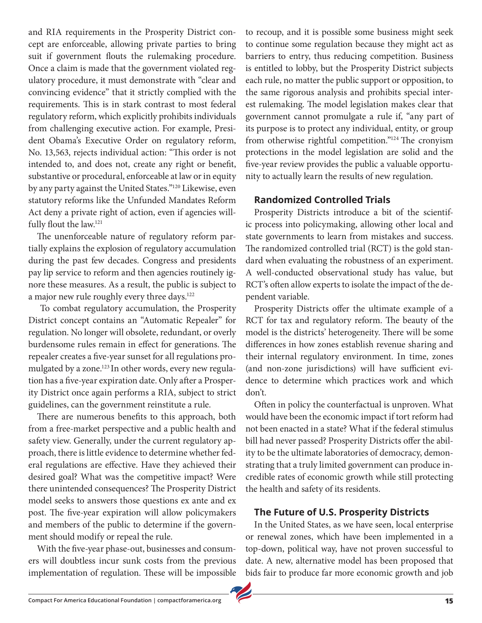and RIA requirements in the Prosperity District concept are enforceable, allowing private parties to bring suit if government flouts the rulemaking procedure. Once a claim is made that the government violated regulatory procedure, it must demonstrate with "clear and convincing evidence" that it strictly complied with the requirements. This is in stark contrast to most federal regulatory reform, which explicitly prohibits individuals from challenging executive action. For example, President Obama's Executive Order on regulatory reform, No. 13,563, rejects individual action: "This order is not intended to, and does not, create any right or benefit, substantive or procedural, enforceable at law or in equity by any party against the United States."120 Likewise, even statutory reforms like the Unfunded Mandates Reform Act deny a private right of action, even if agencies willfully flout the law.<sup>121</sup>

The unenforceable nature of regulatory reform partially explains the explosion of regulatory accumulation during the past few decades. Congress and presidents pay lip service to reform and then agencies routinely ignore these measures. As a result, the public is subject to a major new rule roughly every three days.<sup>122</sup>

 To combat regulatory accumulation, the Prosperity District concept contains an "Automatic Repealer" for regulation. No longer will obsolete, redundant, or overly burdensome rules remain in effect for generations. The repealer creates a five-year sunset for all regulations promulgated by a zone.<sup>123</sup> In other words, every new regulation has a five-year expiration date. Only after a Prosperity District once again performs a RIA, subject to strict guidelines, can the government reinstitute a rule.

There are numerous benefits to this approach, both from a free-market perspective and a public health and safety view. Generally, under the current regulatory approach, there is little evidence to determine whether federal regulations are effective. Have they achieved their desired goal? What was the competitive impact? Were there unintended consequences? The Prosperity District model seeks to answers those questions ex ante and ex post. The five-year expiration will allow policymakers and members of the public to determine if the government should modify or repeal the rule.

With the five-year phase-out, businesses and consumers will doubtless incur sunk costs from the previous implementation of regulation. These will be impossible

to recoup, and it is possible some business might seek to continue some regulation because they might act as barriers to entry, thus reducing competition. Business is entitled to lobby, but the Prosperity District subjects each rule, no matter the public support or opposition, to the same rigorous analysis and prohibits special interest rulemaking. The model legislation makes clear that government cannot promulgate a rule if, "any part of its purpose is to protect any individual, entity, or group from otherwise rightful competition."124 The cronyism protections in the model legislation are solid and the five-year review provides the public a valuable opportunity to actually learn the results of new regulation.

#### **Randomized Controlled Trials**

Prosperity Districts introduce a bit of the scientific process into policymaking, allowing other local and state governments to learn from mistakes and success. The randomized controlled trial (RCT) is the gold standard when evaluating the robustness of an experiment. A well-conducted observational study has value, but RCT's often allow experts to isolate the impact of the dependent variable.

Prosperity Districts offer the ultimate example of a RCT for tax and regulatory reform. The beauty of the model is the districts' heterogeneity. There will be some differences in how zones establish revenue sharing and their internal regulatory environment. In time, zones (and non-zone jurisdictions) will have sufficient evidence to determine which practices work and which don't.

Often in policy the counterfactual is unproven. What would have been the economic impact if tort reform had not been enacted in a state? What if the federal stimulus bill had never passed? Prosperity Districts offer the ability to be the ultimate laboratories of democracy, demonstrating that a truly limited government can produce incredible rates of economic growth while still protecting the health and safety of its residents.

#### **The Future of U.S. Prosperity Districts**

In the United States, as we have seen, local enterprise or renewal zones, which have been implemented in a top-down, political way, have not proven successful to date. A new, alternative model has been proposed that bids fair to produce far more economic growth and job

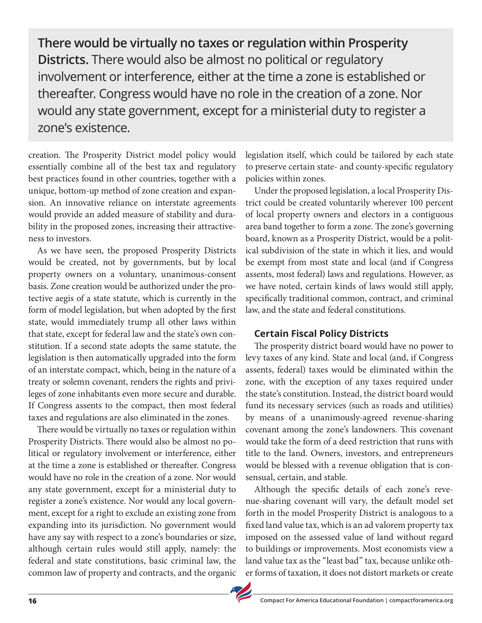**There would be virtually no taxes or regulation within Prosperity Districts.** There would also be almost no political or regulatory involvement or interference, either at the time a zone is established or thereafter. Congress would have no role in the creation of a zone. Nor would any state government, except for a ministerial duty to register a zone's existence.

creation. The Prosperity District model policy would essentially combine all of the best tax and regulatory best practices found in other countries, together with a unique, bottom-up method of zone creation and expansion. An innovative reliance on interstate agreements would provide an added measure of stability and durability in the proposed zones, increasing their attractiveness to investors.

As we have seen, the proposed Prosperity Districts would be created, not by governments, but by local property owners on a voluntary, unanimous-consent basis. Zone creation would be authorized under the protective aegis of a state statute, which is currently in the form of model legislation, but when adopted by the first state, would immediately trump all other laws within that state, except for federal law and the state's own constitution. If a second state adopts the same statute, the legislation is then automatically upgraded into the form of an interstate compact, which, being in the nature of a treaty or solemn covenant, renders the rights and privileges of zone inhabitants even more secure and durable. If Congress assents to the compact, then most federal taxes and regulations are also eliminated in the zones.

There would be virtually no taxes or regulation within Prosperity Districts. There would also be almost no political or regulatory involvement or interference, either at the time a zone is established or thereafter. Congress would have no role in the creation of a zone. Nor would any state government, except for a ministerial duty to register a zone's existence. Nor would any local government, except for a right to exclude an existing zone from expanding into its jurisdiction. No government would have any say with respect to a zone's boundaries or size, although certain rules would still apply, namely: the federal and state constitutions, basic criminal law, the common law of property and contracts, and the organic legislation itself, which could be tailored by each state to preserve certain state- and county-specific regulatory policies within zones.

Under the proposed legislation, a local Prosperity District could be created voluntarily wherever 100 percent of local property owners and electors in a contiguous area band together to form a zone. The zone's governing board, known as a Prosperity District, would be a political subdivision of the state in which it lies, and would be exempt from most state and local (and if Congress assents, most federal) laws and regulations. However, as we have noted, certain kinds of laws would still apply, specifically traditional common, contract, and criminal law, and the state and federal constitutions.

#### **Certain Fiscal Policy Districts**

The prosperity district board would have no power to levy taxes of any kind. State and local (and, if Congress assents, federal) taxes would be eliminated within the zone, with the exception of any taxes required under the state's constitution. Instead, the district board would fund its necessary services (such as roads and utilities) by means of a unanimously-agreed revenue-sharing covenant among the zone's landowners. This covenant would take the form of a deed restriction that runs with title to the land. Owners, investors, and entrepreneurs would be blessed with a revenue obligation that is consensual, certain, and stable.

Although the specific details of each zone's revenue-sharing covenant will vary, the default model set forth in the model Prosperity District is analogous to a fixed land value tax, which is an ad valorem property tax imposed on the assessed value of land without regard to buildings or improvements. Most economists view a land value tax as the "least bad" tax, because unlike other forms of taxation, it does not distort markets or create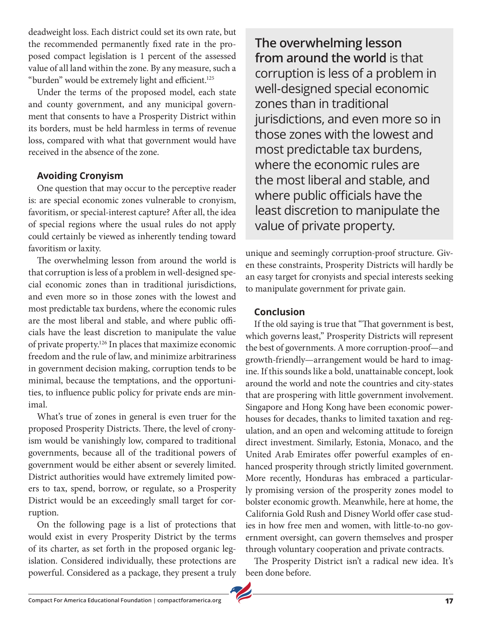deadweight loss. Each district could set its own rate, but the recommended permanently fixed rate in the proposed compact legislation is 1 percent of the assessed value of all land within the zone. By any measure, such a "burden" would be extremely light and efficient.125

Under the terms of the proposed model, each state and county government, and any municipal government that consents to have a Prosperity District within its borders, must be held harmless in terms of revenue loss, compared with what that government would have received in the absence of the zone.

#### **Avoiding Cronyism**

One question that may occur to the perceptive reader is: are special economic zones vulnerable to cronyism, favoritism, or special-interest capture? After all, the idea of special regions where the usual rules do not apply could certainly be viewed as inherently tending toward favoritism or laxity.

The overwhelming lesson from around the world is that corruption is less of a problem in well-designed special economic zones than in traditional jurisdictions, and even more so in those zones with the lowest and most predictable tax burdens, where the economic rules are the most liberal and stable, and where public officials have the least discretion to manipulate the value of private property.126 In places that maximize economic freedom and the rule of law, and minimize arbitrariness in government decision making, corruption tends to be minimal, because the temptations, and the opportunities, to influence public policy for private ends are minimal.

What's true of zones in general is even truer for the proposed Prosperity Districts. There, the level of cronyism would be vanishingly low, compared to traditional governments, because all of the traditional powers of government would be either absent or severely limited. District authorities would have extremely limited powers to tax, spend, borrow, or regulate, so a Prosperity District would be an exceedingly small target for corruption.

On the following page is a list of protections that would exist in every Prosperity District by the terms of its charter, as set forth in the proposed organic legislation. Considered individually, these protections are powerful. Considered as a package, they present a truly

**The overwhelming lesson from around the world** is that corruption is less of a problem in well-designed special economic zones than in traditional jurisdictions, and even more so in those zones with the lowest and most predictable tax burdens, where the economic rules are the most liberal and stable, and where public officials have the least discretion to manipulate the value of private property.

unique and seemingly corruption-proof structure. Given these constraints, Prosperity Districts will hardly be an easy target for cronyists and special interests seeking to manipulate government for private gain.

#### **Conclusion**

If the old saying is true that "That government is best, which governs least," Prosperity Districts will represent the best of governments. A more corruption-proof—and growth-friendly—arrangement would be hard to imagine. If this sounds like a bold, unattainable concept, look around the world and note the countries and city-states that are prospering with little government involvement. Singapore and Hong Kong have been economic powerhouses for decades, thanks to limited taxation and regulation, and an open and welcoming attitude to foreign direct investment. Similarly, Estonia, Monaco, and the United Arab Emirates offer powerful examples of enhanced prosperity through strictly limited government. More recently, Honduras has embraced a particularly promising version of the prosperity zones model to bolster economic growth. Meanwhile, here at home, the California Gold Rush and Disney World offer case studies in how free men and women, with little-to-no government oversight, can govern themselves and prosper through voluntary cooperation and private contracts.

The Prosperity District isn't a radical new idea. It's been done before.

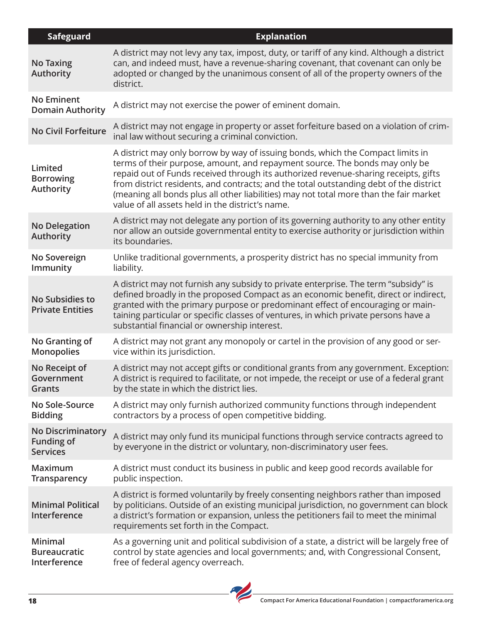| <b>Safeguard</b>                                                 | <b>Explanation</b>                                                                                                                                                                                                                                                                                                                                                                                                                                                                            |
|------------------------------------------------------------------|-----------------------------------------------------------------------------------------------------------------------------------------------------------------------------------------------------------------------------------------------------------------------------------------------------------------------------------------------------------------------------------------------------------------------------------------------------------------------------------------------|
| <b>No Taxing</b><br><b>Authority</b>                             | A district may not levy any tax, impost, duty, or tariff of any kind. Although a district<br>can, and indeed must, have a revenue-sharing covenant, that covenant can only be<br>adopted or changed by the unanimous consent of all of the property owners of the<br>district.                                                                                                                                                                                                                |
| <b>No Eminent</b><br><b>Domain Authority</b>                     | A district may not exercise the power of eminent domain.                                                                                                                                                                                                                                                                                                                                                                                                                                      |
| No Civil Forfeiture                                              | A district may not engage in property or asset forfeiture based on a violation of crim-<br>inal law without securing a criminal conviction.                                                                                                                                                                                                                                                                                                                                                   |
| Limited<br><b>Borrowing</b><br>Authority                         | A district may only borrow by way of issuing bonds, which the Compact limits in<br>terms of their purpose, amount, and repayment source. The bonds may only be<br>repaid out of Funds received through its authorized revenue-sharing receipts, gifts<br>from district residents, and contracts; and the total outstanding debt of the district<br>(meaning all bonds plus all other liabilities) may not total more than the fair market<br>value of all assets held in the district's name. |
| <b>No Delegation</b><br><b>Authority</b>                         | A district may not delegate any portion of its governing authority to any other entity<br>nor allow an outside governmental entity to exercise authority or jurisdiction within<br>its boundaries.                                                                                                                                                                                                                                                                                            |
| No Sovereign<br>Immunity                                         | Unlike traditional governments, a prosperity district has no special immunity from<br>liability.                                                                                                                                                                                                                                                                                                                                                                                              |
| <b>No Subsidies to</b><br><b>Private Entities</b>                | A district may not furnish any subsidy to private enterprise. The term "subsidy" is<br>defined broadly in the proposed Compact as an economic benefit, direct or indirect,<br>granted with the primary purpose or predominant effect of encouraging or main-<br>taining particular or specific classes of ventures, in which private persons have a<br>substantial financial or ownership interest.                                                                                           |
| No Granting of<br><b>Monopolies</b>                              | A district may not grant any monopoly or cartel in the provision of any good or ser-<br>vice within its jurisdiction.                                                                                                                                                                                                                                                                                                                                                                         |
| No Receipt of<br>Government<br>Grants                            | A district may not accept gifts or conditional grants from any government. Exception:<br>A district is required to facilitate, or not impede, the receipt or use of a federal grant<br>by the state in which the district lies.                                                                                                                                                                                                                                                               |
| No Sole-Source<br><b>Bidding</b>                                 | A district may only furnish authorized community functions through independent<br>contractors by a process of open competitive bidding.                                                                                                                                                                                                                                                                                                                                                       |
| <b>No Discriminatory</b><br><b>Funding of</b><br><b>Services</b> | A district may only fund its municipal functions through service contracts agreed to<br>by everyone in the district or voluntary, non-discriminatory user fees.                                                                                                                                                                                                                                                                                                                               |
| Maximum<br>Transparency                                          | A district must conduct its business in public and keep good records available for<br>public inspection.                                                                                                                                                                                                                                                                                                                                                                                      |
| <b>Minimal Political</b><br>Interference                         | A district is formed voluntarily by freely consenting neighbors rather than imposed<br>by politicians. Outside of an existing municipal jurisdiction, no government can block<br>a district's formation or expansion, unless the petitioners fail to meet the minimal<br>requirements set forth in the Compact.                                                                                                                                                                               |
| Minimal<br><b>Bureaucratic</b><br>Interference                   | As a governing unit and political subdivision of a state, a district will be largely free of<br>control by state agencies and local governments; and, with Congressional Consent,<br>free of federal agency overreach.                                                                                                                                                                                                                                                                        |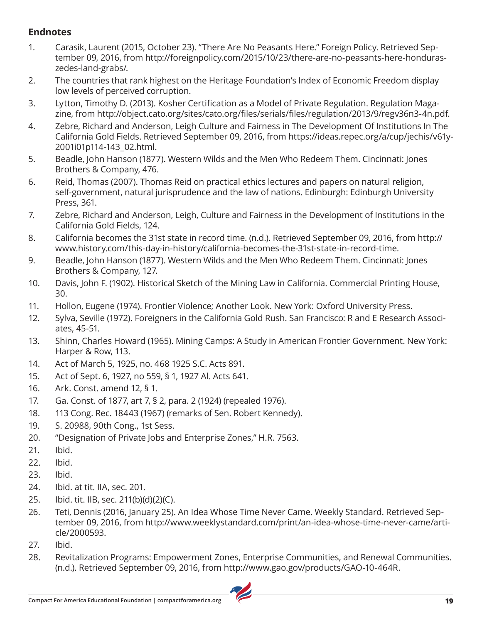#### **Endnotes**

- 1. Carasik, Laurent (2015, October 23). "There Are No Peasants Here." Foreign Policy. Retrieved September 09, 2016, from http://foreignpolicy.com/2015/10/23/there-are-no-peasants-here-honduraszedes-land-grabs/.
- 2. The countries that rank highest on the Heritage Foundation's Index of Economic Freedom display low levels of perceived corruption.
- 3. Lytton, Timothy D. (2013). Kosher Certification as a Model of Private Regulation. Regulation Magazine, from http://object.cato.org/sites/cato.org/files/serials/files/regulation/2013/9/regv36n3-4n.pdf.
- 4. Zebre, Richard and Anderson, Leigh Culture and Fairness in The Development Of Institutions In The California Gold Fields. Retrieved September 09, 2016, from https://ideas.repec.org/a/cup/jechis/v61y-2001i01p114-143\_02.html.
- 5. Beadle, John Hanson (1877). Western Wilds and the Men Who Redeem Them. Cincinnati: Jones Brothers & Company, 476.
- 6. Reid, Thomas (2007). Thomas Reid on practical ethics lectures and papers on natural religion, self-government, natural jurisprudence and the law of nations. Edinburgh: Edinburgh University Press, 361.
- 7. Zebre, Richard and Anderson, Leigh, Culture and Fairness in the Development of Institutions in the California Gold Fields, 124.
- 8. California becomes the 31st state in record time. (n.d.). Retrieved September 09, 2016, from http:// www.history.com/this-day-in-history/california-becomes-the-31st-state-in-record-time.
- 9. Beadle, John Hanson (1877). Western Wilds and the Men Who Redeem Them. Cincinnati: Jones Brothers & Company, 127.
- 10. Davis, John F. (1902). Historical Sketch of the Mining Law in California. Commercial Printing House, 30.
- 11. Hollon, Eugene (1974). Frontier Violence; Another Look. New York: Oxford University Press.
- 12. Sylva, Seville (1972). Foreigners in the California Gold Rush. San Francisco: R and E Research Associates, 45-51.
- 13. Shinn, Charles Howard (1965). Mining Camps: A Study in American Frontier Government. New York: Harper & Row, 113.
- 14. Act of March 5, 1925, no. 468 1925 S.C. Acts 891.
- 15. Act of Sept. 6, 1927, no 559, § 1, 1927 Al. Acts 641.
- 16. Ark. Const. amend 12, § 1.
- 17. Ga. Const. of 1877, art 7, § 2, para. 2 (1924) (repealed 1976).
- 18. 113 Cong. Rec. 18443 (1967) (remarks of Sen. Robert Kennedy).
- 19. S. 20988, 90th Cong., 1st Sess.
- 20. "Designation of Private Jobs and Enterprise Zones," H.R. 7563.
- 21. Ibid.
- 22. Ibid.
- 23. Ibid.
- 24. Ibid. at tit. IIA, sec. 201.
- 25. Ibid. tit. IIB, sec. 211(b)(d)(2)(C).
- 26. Teti, Dennis (2016, January 25). An Idea Whose Time Never Came. Weekly Standard. Retrieved September 09, 2016, from http://www.weeklystandard.com/print/an-idea-whose-time-never-came/article/2000593.
- 27. Ibid.
- 28. Revitalization Programs: Empowerment Zones, Enterprise Communities, and Renewal Communities. (n.d.). Retrieved September 09, 2016, from http://www.gao.gov/products/GAO-10-464R.

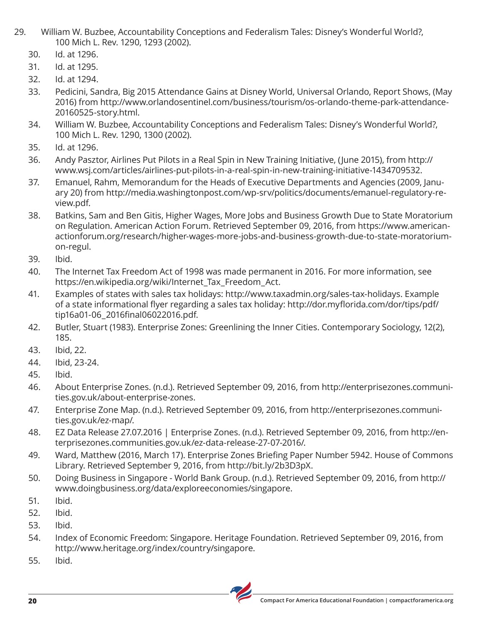- 29. William W. Buzbee, Accountability Conceptions and Federalism Tales: Disney's Wonderful World?, 100 Mich L. Rev. 1290, 1293 (2002).
	- 30. Id. at 1296.
	- 31. Id. at 1295.
	- 32. Id. at 1294.
	- 33. Pedicini, Sandra, Big 2015 Attendance Gains at Disney World, Universal Orlando, Report Shows, (May 2016) from http://www.orlandosentinel.com/business/tourism/os-orlando-theme-park-attendance-20160525-story.html.
	- 34. William W. Buzbee, Accountability Conceptions and Federalism Tales: Disney's Wonderful World?, 100 Mich L. Rev. 1290, 1300 (2002).
	- 35. Id. at 1296.
	- 36. Andy Pasztor, Airlines Put Pilots in a Real Spin in New Training Initiative, (June 2015), from http:// www.wsj.com/articles/airlines-put-pilots-in-a-real-spin-in-new-training-initiative-1434709532.
	- 37. Emanuel, Rahm, Memorandum for the Heads of Executive Departments and Agencies (2009, January 20) from http://media.washingtonpost.com/wp-srv/politics/documents/emanuel-regulatory-review.pdf.
	- 38. Batkins, Sam and Ben Gitis, Higher Wages, More Jobs and Business Growth Due to State Moratorium on Regulation. American Action Forum. Retrieved September 09, 2016, from https://www.americanactionforum.org/research/higher-wages-more-jobs-and-business-growth-due-to-state-moratoriumon-regul.
	- 39. Ibid.
	- 40. The Internet Tax Freedom Act of 1998 was made permanent in 2016. For more information, see https://en.wikipedia.org/wiki/Internet Tax Freedom Act.
	- 41. Examples of states with sales tax holidays: http://www.taxadmin.org/sales-tax-holidays. Example of a state informational flyer regarding a sales tax holiday: http://dor.myflorida.com/dor/tips/pdf/ tip16a01-06\_2016final06022016.pdf.
	- 42. Butler, Stuart (1983). Enterprise Zones: Greenlining the Inner Cities. Contemporary Sociology, 12(2), 185.
	- 43. Ibid, 22.
	- 44. Ibid, 23-24.
	- 45. Ibid.
	- 46. About Enterprise Zones. (n.d.). Retrieved September 09, 2016, from http://enterprisezones.communities.gov.uk/about-enterprise-zones.
	- 47. Enterprise Zone Map. (n.d.). Retrieved September 09, 2016, from http://enterprisezones.communities.gov.uk/ez-map/.
	- 48. EZ Data Release 27.07.2016 | Enterprise Zones. (n.d.). Retrieved September 09, 2016, from http://enterprisezones.communities.gov.uk/ez-data-release-27-07-2016/.
	- 49. Ward, Matthew (2016, March 17). Enterprise Zones Briefing Paper Number 5942. House of Commons Library. Retrieved September 9, 2016, from http://bit.ly/2b3D3pX.
	- 50. Doing Business in Singapore World Bank Group. (n.d.). Retrieved September 09, 2016, from http:// www.doingbusiness.org/data/exploreeconomies/singapore.
	- 51. Ibid.
	- 52. Ibid.
	- 53. Ibid.
	- 54. Index of Economic Freedom: Singapore. Heritage Foundation. Retrieved September 09, 2016, from http://www.heritage.org/index/country/singapore.
	- 55. Ibid.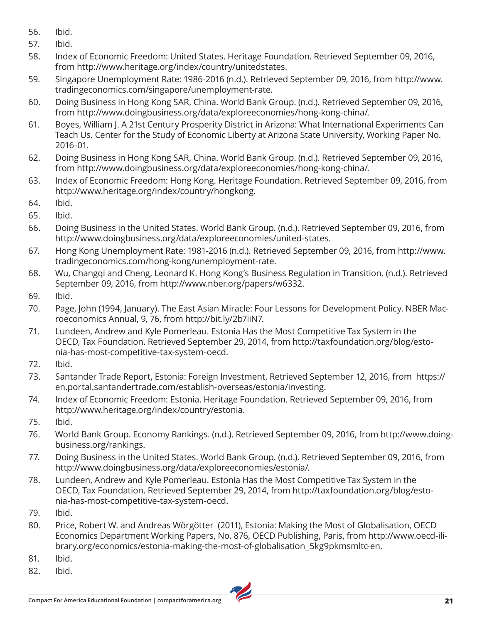- 56. Ibid.
- 57. Ibid.
- 58. Index of Economic Freedom: United States. Heritage Foundation. Retrieved September 09, 2016, from http://www.heritage.org/index/country/unitedstates.
- 59. Singapore Unemployment Rate: 1986-2016 (n.d.). Retrieved September 09, 2016, from http://www. tradingeconomics.com/singapore/unemployment-rate.
- 60. Doing Business in Hong Kong SAR, China. World Bank Group. (n.d.). Retrieved September 09, 2016, from http://www.doingbusiness.org/data/exploreeconomies/hong-kong-china/.
- 61. Boyes, William J. A 21st Century Prosperity District in Arizona: What International Experiments Can Teach Us. Center for the Study of Economic Liberty at Arizona State University, Working Paper No. 2016-01.
- 62. Doing Business in Hong Kong SAR, China. World Bank Group. (n.d.). Retrieved September 09, 2016, from http://www.doingbusiness.org/data/exploreeconomies/hong-kong-china/.
- 63. Index of Economic Freedom: Hong Kong. Heritage Foundation. Retrieved September 09, 2016, from http://www.heritage.org/index/country/hongkong.
- 64. Ibid.
- 65. Ibid.
- 66. Doing Business in the United States. World Bank Group. (n.d.). Retrieved September 09, 2016, from http://www.doingbusiness.org/data/exploreeconomies/united-states.
- 67. Hong Kong Unemployment Rate: 1981-2016 (n.d.). Retrieved September 09, 2016, from http://www. tradingeconomics.com/hong-kong/unemployment-rate.
- 68. Wu, Changqi and Cheng, Leonard K. Hong Kong's Business Regulation in Transition. (n.d.). Retrieved September 09, 2016, from http://www.nber.org/papers/w6332.
- 69. Ibid.
- 70. Page, John (1994, January). The East Asian Miracle: Four Lessons for Development Policy. NBER Macroeconomics Annual, 9, 76, from http://bit.ly/2b7iiN7.
- 71. Lundeen, Andrew and Kyle Pomerleau. Estonia Has the Most Competitive Tax System in the OECD, Tax Foundation. Retrieved September 29, 2014, from http://taxfoundation.org/blog/estonia-has-most-competitive-tax-system-oecd.
- 72. Ibid.
- 73. Santander Trade Report, Estonia: Foreign Investment, Retrieved September 12, 2016, from https:// en.portal.santandertrade.com/establish-overseas/estonia/investing.
- 74. Index of Economic Freedom: Estonia. Heritage Foundation. Retrieved September 09, 2016, from http://www.heritage.org/index/country/estonia.
- 75. Ibid.
- 76. World Bank Group. Economy Rankings. (n.d.). Retrieved September 09, 2016, from http://www.doingbusiness.org/rankings.
- 77. Doing Business in the United States. World Bank Group. (n.d.). Retrieved September 09, 2016, from http://www.doingbusiness.org/data/exploreeconomies/estonia/.
- 78. Lundeen, Andrew and Kyle Pomerleau. Estonia Has the Most Competitive Tax System in the OECD, Tax Foundation. Retrieved September 29, 2014, from http://taxfoundation.org/blog/estonia-has-most-competitive-tax-system-oecd.
- 79. Ibid.
- 80. Price, Robert W. and Andreas Wörgötter (2011), Estonia: Making the Most of Globalisation, OECD Economics Department Working Papers, No. 876, OECD Publishing, Paris, from http://www.oecd-ilibrary.org/economics/estonia-making-the-most-of-globalisation\_5kg9pkmsmltc-en.
- 81. Ibid.
- 82. Ibid.

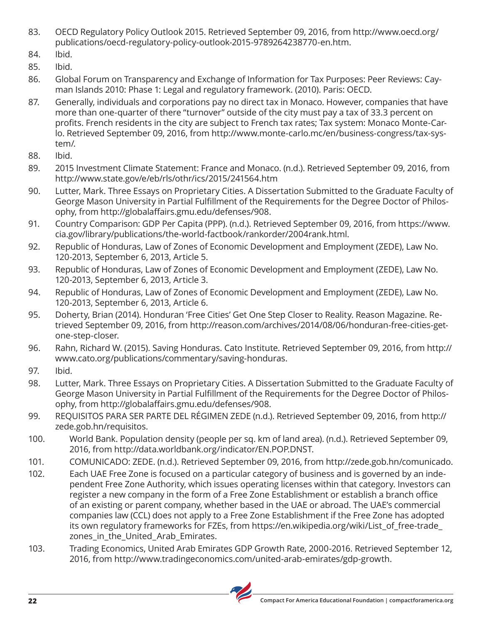- 83. OECD Regulatory Policy Outlook 2015. Retrieved September 09, 2016, from http://www.oecd.org/ publications/oecd-regulatory-policy-outlook-2015-9789264238770-en.htm.
- 84. Ibid.
- 85. Ibid.
- 86. Global Forum on Transparency and Exchange of Information for Tax Purposes: Peer Reviews: Cayman Islands 2010: Phase 1: Legal and regulatory framework. (2010). Paris: OECD.
- 87. Generally, individuals and corporations pay no direct tax in Monaco. However, companies that have more than one-quarter of there "turnover" outside of the city must pay a tax of 33.3 percent on profits. French residents in the city are subject to French tax rates; Tax system: Monaco Monte-Carlo. Retrieved September 09, 2016, from http://www.monte-carlo.mc/en/business-congress/tax-system/.
- 88. Ibid.
- 89. 2015 Investment Climate Statement: France and Monaco. (n.d.). Retrieved September 09, 2016, from http://www.state.gov/e/eb/rls/othr/ics/2015/241564.htm
- 90. Lutter, Mark. Three Essays on Proprietary Cities. A Dissertation Submitted to the Graduate Faculty of George Mason University in Partial Fulfillment of the Requirements for the Degree Doctor of Philosophy, from http://globalaffairs.gmu.edu/defenses/908.
- 91. Country Comparison: GDP Per Capita (PPP). (n.d.). Retrieved September 09, 2016, from https://www. cia.gov/library/publications/the-world-factbook/rankorder/2004rank.html.
- 92. Republic of Honduras, Law of Zones of Economic Development and Employment (ZEDE), Law No. 120-2013, September 6, 2013, Article 5.
- 93. Republic of Honduras, Law of Zones of Economic Development and Employment (ZEDE), Law No. 120-2013, September 6, 2013, Article 3.
- 94. Republic of Honduras, Law of Zones of Economic Development and Employment (ZEDE), Law No. 120-2013, September 6, 2013, Article 6.
- 95. Doherty, Brian (2014). Honduran 'Free Cities' Get One Step Closer to Reality. Reason Magazine. Retrieved September 09, 2016, from http://reason.com/archives/2014/08/06/honduran-free-cities-getone-step-closer.
- 96. Rahn, Richard W. (2015). Saving Honduras. Cato Institute. Retrieved September 09, 2016, from http:// www.cato.org/publications/commentary/saving-honduras.
- 97. Ibid.
- 98. Lutter, Mark. Three Essays on Proprietary Cities. A Dissertation Submitted to the Graduate Faculty of George Mason University in Partial Fulfillment of the Requirements for the Degree Doctor of Philosophy, from http://globalaffairs.gmu.edu/defenses/908.
- 99. REQUISITOS PARA SER PARTE DEL RÉGIMEN ZEDE (n.d.). Retrieved September 09, 2016, from http:// zede.gob.hn/requisitos.
- 100. World Bank. Population density (people per sq. km of land area). (n.d.). Retrieved September 09, 2016, from http://data.worldbank.org/indicator/EN.POP.DNST.
- 101. COMUNICADO: ZEDE. (n.d.). Retrieved September 09, 2016, from http://zede.gob.hn/comunicado.
- 102. Each UAE Free Zone is focused on a particular category of business and is governed by an independent Free Zone Authority, which issues operating licenses within that category. Investors can register a new company in the form of a Free Zone Establishment or establish a branch office of an existing or parent company, whether based in the UAE or abroad. The UAE's commercial companies law (CCL) does not apply to a Free Zone Establishment if the Free Zone has adopted its own regulatory frameworks for FZEs, from https://en.wikipedia.org/wiki/List\_of\_free-trade\_ zones\_in\_the\_United\_Arab\_Emirates.
- 103. Trading Economics, United Arab Emirates GDP Growth Rate, 2000-2016. Retrieved September 12, 2016, from http://www.tradingeconomics.com/united-arab-emirates/gdp-growth.

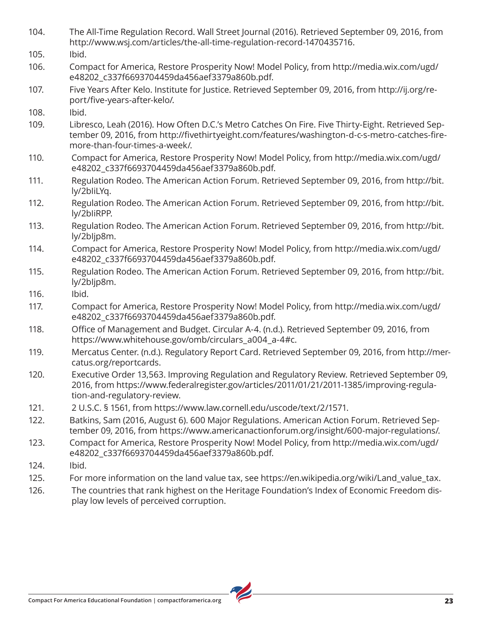- 104. The All-Time Regulation Record. Wall Street Journal (2016). Retrieved September 09, 2016, from http://www.wsj.com/articles/the-all-time-regulation-record-1470435716.
- 105. Ibid.
- 106. Compact for America, Restore Prosperity Now! Model Policy, from http://media.wix.com/ugd/ e48202\_c337f6693704459da456aef3379a860b.pdf.
- 107. Five Years After Kelo. Institute for Justice. Retrieved September 09, 2016, from http://ij.org/report/five-years-after-kelo/.
- 108. Ibid.
- 109. Libresco, Leah (2016). How Often D.C.'s Metro Catches On Fire. Five Thirty-Eight. Retrieved September 09, 2016, from http://fivethirtyeight.com/features/washington-d-c-s-metro-catches-firemore-than-four-times-a-week/.
- 110. Compact for America, Restore Prosperity Now! Model Policy, from http://media.wix.com/ugd/ e48202\_c337f6693704459da456aef3379a860b.pdf.
- 111. Regulation Rodeo. The American Action Forum. Retrieved September 09, 2016, from http://bit. ly/2bIiLYq.
- 112. Regulation Rodeo. The American Action Forum. Retrieved September 09, 2016, from http://bit. ly/2bIiRPP.
- 113. Regulation Rodeo. The American Action Forum. Retrieved September 09, 2016, from http://bit. ly/2bIjp8m.
- 114. Compact for America, Restore Prosperity Now! Model Policy, from http://media.wix.com/ugd/ e48202\_c337f6693704459da456aef3379a860b.pdf.
- 115. Regulation Rodeo. The American Action Forum. Retrieved September 09, 2016, from http://bit. ly/2bIjp8m.
- 116. Ibid.

117. Compact for America, Restore Prosperity Now! Model Policy, from http://media.wix.com/ugd/ e48202\_c337f6693704459da456aef3379a860b.pdf.

- 118. Office of Management and Budget. Circular A-4. (n.d.). Retrieved September 09, 2016, from https://www.whitehouse.gov/omb/circulars\_a004\_a-4#c.
- 119. Mercatus Center. (n.d.). Regulatory Report Card. Retrieved September 09, 2016, from http://mercatus.org/reportcards.
- 120. Executive Order 13,563. Improving Regulation and Regulatory Review. Retrieved September 09, 2016, from https://www.federalregister.gov/articles/2011/01/21/2011-1385/improving-regulation-and-regulatory-review.
- 121. 2 U.S.C. § 1561, from https://www.law.cornell.edu/uscode/text/2/1571.
- 122. Batkins, Sam (2016, August 6). 600 Major Regulations. American Action Forum. Retrieved September 09, 2016, from https://www.americanactionforum.org/insight/600-major-regulations/.
- 123. Compact for America, Restore Prosperity Now! Model Policy, from http://media.wix.com/ugd/ e48202\_c337f6693704459da456aef3379a860b.pdf.
- 124. Ibid.
- 125. For more information on the land value tax, see https://en.wikipedia.org/wiki/Land\_value\_tax.
- 126. The countries that rank highest on the Heritage Foundation's Index of Economic Freedom display low levels of perceived corruption.